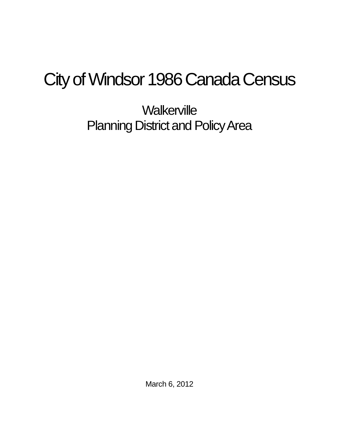## City of Windsor 1986 Canada Census

**Walkerville** Planning District and Policy Area

March 6, 2012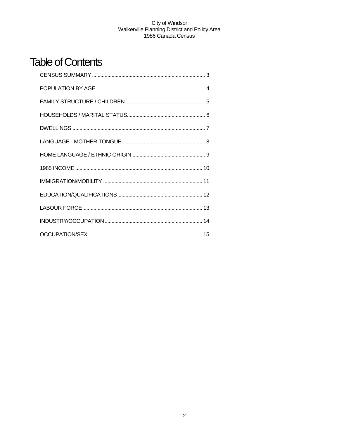## **Table of Contents**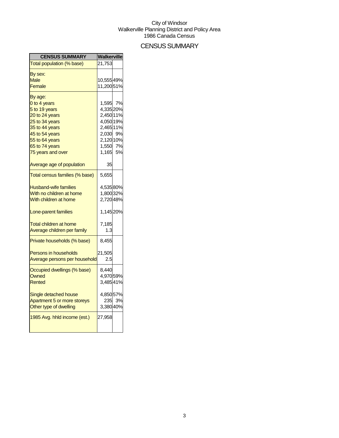## CENSUS SUMMARY

| <b>CENSUS SUMMARY</b>          | Walkerville |        |
|--------------------------------|-------------|--------|
| Total population (% base)      | 21,753      |        |
| By sex:                        |             |        |
| <b>Male</b>                    | 10,55549%   |        |
| Female                         | 11,200 51%  |        |
| By age:                        |             |        |
| 0 to 4 years                   | 1,595 7%    |        |
| 5 to 19 years                  | 4,335 20%   |        |
| 20 to 24 years                 | 2,450 11%   |        |
| 25 to 34 years                 | 4,050 19%   |        |
| 35 to 44 years                 | 2,465 11%   |        |
| 45 to 54 years                 | 2,030 9%    |        |
| 55 to 64 years                 | 2,120 10%   |        |
| 65 to 74 years                 | 1,550 7%    |        |
| 75 years and over              | 1,165 5%    |        |
| Average age of population      | 35          |        |
| Total census families (% base) | 5,655       |        |
| <b>Husband-wife families</b>   | 4,53580%    |        |
| With no children at home       | 1,800 32%   |        |
| With children at home          | 2,720 48%   |        |
| Lone-parent families           | 1,145 20%   |        |
| <b>Total children at home</b>  | 7,185       |        |
| Average children per family    | 1.3         |        |
| Private households (% base)    | 8,455       |        |
| <b>Persons in households</b>   | 21,505      |        |
| Average persons per household  | 2.5         |        |
| Occupied dwellings (% base)    | 8,440       |        |
| Owned                          | 4,970 59%   |        |
| Rented                         | 3,48541%    |        |
| Single detached house          | 4,850 57%   |        |
| Apartment 5 or more storeys    |             | 235 3% |
| Other type of dwelling         | 3,38040%    |        |
| 1985 Avg. hhld income (est.)   | 27,958      |        |
|                                |             |        |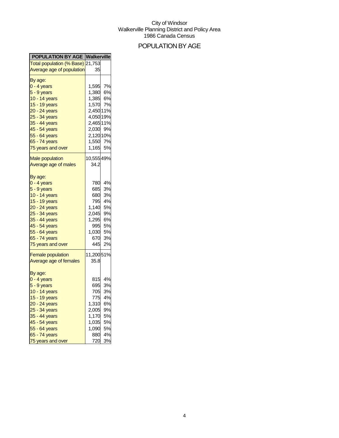## POPULATION BY AGE

| <b>POPULATION BY AGE Walkerville</b>           |                    |          |
|------------------------------------------------|--------------------|----------|
| Total population (% Base) 21,753               |                    |          |
| Average age of population                      | 35                 |          |
| By age:                                        |                    |          |
| $0 - 4$ years                                  | 1,595              | 7%       |
| $5 - 9$ years                                  | $1,380$ 6%         |          |
| 10 - 14 years                                  | 1,385 6%           |          |
| 15 - 19 years                                  | 1,570 7%           |          |
| 20 - 24 years                                  | 2,450 11%          |          |
| 25 - 34 years                                  | 4,050 19%          |          |
| 35 - 44 years                                  | 2,465 11%          |          |
| 45 - 54 years                                  | 2,030 9%           |          |
| 55 - 64 years                                  | 2,120 10%          |          |
| 65 - 74 years                                  | 1,550 7%           |          |
| 75 years and over                              | 1,165 5%           |          |
|                                                |                    |          |
| <b>Male population</b><br>Average age of males | 10,555 49%<br>34.2 |          |
|                                                |                    |          |
| By age:                                        |                    |          |
| $0 - 4$ years                                  | 780                | 4%       |
| $5 - 9$ years                                  | 685                | 3%       |
| 10 - 14 years                                  | 680                | 3%       |
| 15 - 19 years                                  |                    | 795 4%   |
| 20 - 24 years                                  | 1,140 5%           |          |
| 25 - 34 years                                  | 2,045 9%           |          |
| 35 - 44 years                                  | 1,295              | 6%       |
| 45 - 54 years                                  | 995<br>1,030       | 5%       |
| 55 - 64 years                                  |                    | 5%       |
| 65 - 74 years                                  |                    | 670 3%   |
| 75 years and over                              | 445                | 2%       |
| <b>Female population</b>                       | 11,20051%          |          |
| Average age of females                         | 35.8               |          |
|                                                |                    |          |
| By age:                                        |                    |          |
| 0 - 4 years                                    | 815                | 4%       |
| $5 - 9$ years                                  | 695                | 3%       |
| 10 - 14 years                                  | 705                | 3%       |
| 15 - 19 years                                  | 775                | 4%       |
| 20 - 24 years                                  | 1,310              | 6%       |
| 25 - 34 years<br>35 - 44 years                 | 2,005              | 9%<br>5% |
| 45 - 54 years                                  | 1,170              | 5%       |
| 55 - 64 years                                  | 1,035<br>1,090     | 5%       |
| 65 - 74 years                                  | 880                | 4%       |
| 75 years and over                              | 720                | 3%       |
|                                                |                    |          |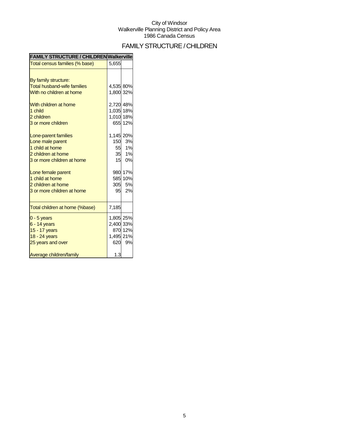## FAMILY STRUCTURE / CHILDREN

| <b>FAMILY STRUCTURE / CHILDREN Walkerville</b> |           |         |
|------------------------------------------------|-----------|---------|
| Total census families (% base)                 | 5,655     |         |
|                                                |           |         |
| By family structure:                           |           |         |
| <b>Total husband-wife families</b>             | 4,535 80% |         |
| With no children at home                       | 1,800 32% |         |
| With children at home                          | 2,720 48% |         |
| 1 child                                        | 1,035 18% |         |
| 2 children                                     | 1,010 18% |         |
| 3 or more children                             |           | 655 12% |
| Lone-parent families                           | 1,145 20% |         |
| Lone male parent                               | 150       | 3%      |
| 1 child at home                                | 55        | 1%      |
| 2 children at home                             | 35        | 1%      |
| 3 or more children at home                     | 15        | 0%      |
| Lone female parent                             |           | 980 17% |
| 1 child at home                                |           | 585 10% |
| 2 children at home                             | 305       | 5%      |
| 3 or more children at home                     | 95        | 2%      |
| Total children at home (%base)                 | 7,185     |         |
| $0 - 5$ years                                  | 1,805 25% |         |
| $6 - 14$ years                                 | 2,400 33% |         |
| 15 - 17 years                                  |           | 870 12% |
| 18 - 24 years                                  | 1,495 21% |         |
| 25 years and over                              | 620       | 9%      |
| Average children/family                        | 1.3       |         |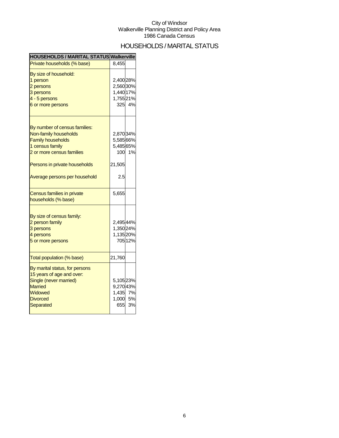## HOUSEHOLDS / MARITAL STATUS

| HOUSEHOLDS / MARITAL STATUS Walkerville |           |         |
|-----------------------------------------|-----------|---------|
| Private households (% base)             | 8.455     |         |
| By size of household:                   |           |         |
| 1 person                                | 2,400 28% |         |
| 2 persons                               | 2,56030%  |         |
| 3 persons                               | 1,440 17% |         |
| 4 - 5 persons                           | 1,755 21% |         |
| 6 or more persons                       |           | 325 4%  |
|                                         |           |         |
| By number of census families:           |           |         |
| Non-family households                   | 2,870 34% |         |
| <b>Family households</b>                | 5,585 66% |         |
| 1 census family                         | 5,485 65% |         |
| 2 or more census families               | 100       | 1%      |
| Persons in private households           | 21,505    |         |
| Average persons per household           | 2.5       |         |
| <b>Census families in private</b>       | 5,655     |         |
| households (% base)                     |           |         |
| By size of census family:               |           |         |
| 2 person family                         | 2,49544%  |         |
| 3 persons                               | 1,350 24% |         |
| 4 persons                               | 1,135 20% |         |
| 5 or more persons                       |           | 705 12% |
|                                         |           |         |
| Total population (% base)               | 21,760    |         |
| By marital status, for persons          |           |         |
| 15 years of age and over:               |           |         |
| Single (never married)                  | 5,10523%  |         |
| <b>Married</b>                          | 9,27043%  |         |
| Widowed                                 | 1,435     | 7%      |
| <b>Divorced</b>                         | 1,000     | 5%      |
| <b>Separated</b>                        | 655       | 3%      |
|                                         |           |         |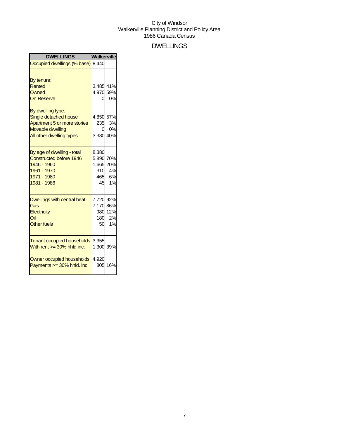### DWELLINGS

| <b>Walkerville</b>                                                               |                                                                                                                                                                |
|----------------------------------------------------------------------------------|----------------------------------------------------------------------------------------------------------------------------------------------------------------|
| Occupied dwellings (% base) 8,440                                                |                                                                                                                                                                |
|                                                                                  | 0%<br>3%<br>0%                                                                                                                                                 |
|                                                                                  | 310 4%<br>465 6%<br>1%                                                                                                                                         |
|                                                                                  | 980 12%<br>180 2%<br>1%                                                                                                                                        |
| 3,355<br><b>Tenant occupied households</b><br>4,920<br>Owner occupied households | 16%                                                                                                                                                            |
|                                                                                  | 3,485 41%<br>4,970 59%<br>0<br>4,850 57%<br>235<br>0<br>3,380 40%<br>8,380<br>5,890 70%<br>1,665 20%<br>45<br>7,720 92%<br>7,170 86%<br>50<br>1,300 39%<br>805 |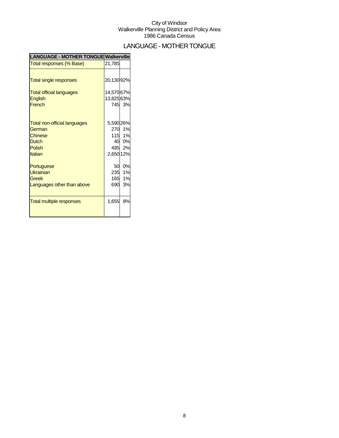## LANGUAGE - MOTHER TONGUE

| <b>LANGUAGE - MOTHER TONGUE Walkerville</b> |            |        |
|---------------------------------------------|------------|--------|
| Total responses (% Base)                    | 21,785     |        |
|                                             |            |        |
| <b>Total single responses</b>               | 20,130 92% |        |
| <b>Total official languages</b>             | 14,570 67% |        |
| English                                     | 13,825 63% |        |
| French                                      |            | 745 3% |
|                                             |            |        |
| <b>Total non-official languages</b>         | 5,590 26%  |        |
| German                                      | <b>270</b> | 1%     |
| <b>Chinese</b>                              |            | 115 1% |
| <b>Dutch</b>                                |            | 40 0%  |
| Polish                                      |            | 495 2% |
| Italian                                     | 2,650 12%  |        |
| Portuguese                                  | 50         | 0%     |
| Ukrainian                                   |            | 235 1% |
| Greek                                       | 165        | 1%     |
| Languages other than above                  | 690        | 3%     |
|                                             |            |        |
| <b>Total multiple responses</b>             | 1,655      | 8%     |
|                                             |            |        |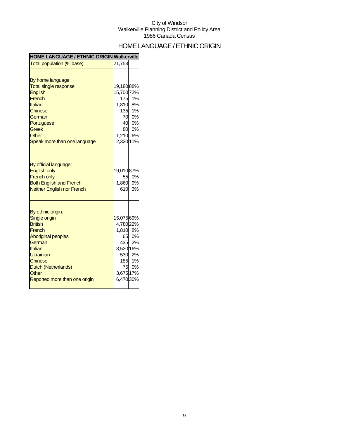## HOME LANGUAGE / ETHNIC ORIGIN

| <b>HOME LANGUAGE / ETHNIC ORIGIN Walkerville</b>                                                                                                                                                                 |                                                                            |                                              |
|------------------------------------------------------------------------------------------------------------------------------------------------------------------------------------------------------------------|----------------------------------------------------------------------------|----------------------------------------------|
| Total population (% base)                                                                                                                                                                                        | 21,753                                                                     |                                              |
| By home language:<br><b>Total single response</b><br><b>English</b><br>French<br><b>Italian</b><br><b>Chinese</b><br>German<br>Portuguese<br><b>Greek</b><br>Other<br>Speak more than one language               | 19,18088%<br>15,700 72%<br>175<br>1,810 8%<br>1,210 6%<br>2,320 11%        | 1%<br>135 1%<br>70 0%<br>40 0%<br>80 0%      |
| By official language:<br><b>English only</b><br><b>French only</b><br><b>Both English and French</b><br><b>Neither English nor French</b>                                                                        | 19,010 87%<br>1,860 9%<br>610                                              | 55 0%<br>3%                                  |
| By ethnic origin:<br>Single origin<br><b>British</b><br>French<br><b>Aboriginal peoples</b><br>German<br>Italian<br>Ukrainian<br><b>Chinese</b><br>Dutch (Netherlands)<br>Other<br>Reported more than one origin | 15,075 69%<br>4,780 22%<br>1,810 8%<br>3,530 16%<br>3,675 17%<br>6,470 30% | 65 0%<br>435 2%<br>530 2%<br>185 1%<br>75 0% |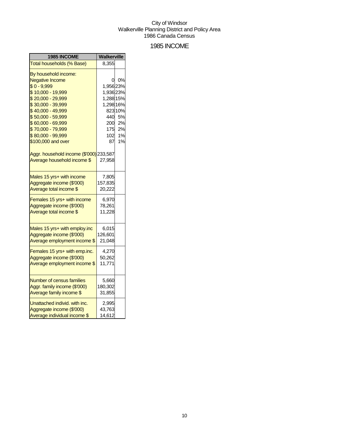### 1985 INCOME

| 1985 INCOME                             | Walkerville |         |
|-----------------------------------------|-------------|---------|
| Total households (% Base)               | 8,355       |         |
| By household income:                    |             |         |
| <b>Negative Income</b>                  | 0           | 0%      |
| $$0 - 9,999$                            | 1,956 23%   |         |
| \$10,000 - 19,999                       | 1,936 23%   |         |
| \$20,000 - 29,999                       | 1,288 15%   |         |
| \$30,000 - 39,999                       | 1,298 16%   |         |
| $$40,000 - 49,999$                      |             | 823 10% |
| \$50,000 - 59,999                       | 440         | 5%      |
| \$60,000 - 69,999                       |             | 200 2%  |
| \$70,000 - 79,999                       | 175         | 2%      |
| \$80,000 - 99,999                       | 102         | 1%      |
| \$100,000 and over                      | 87          | 1%      |
| Aggr. household income (\$'000) 233,587 |             |         |
| Average household income \$             | 27,958      |         |
| Males 15 yrs+ with income               | 7,805       |         |
| Aggregate income (\$'000)               | 157,835     |         |
| Average total income \$                 | 20,222      |         |
| Females 15 yrs+ with income             | 6.970       |         |
| Aggregate income (\$'000)               | 78,261      |         |
| Average total income \$                 | 11,228      |         |
| Males 15 yrs+ with employ.inc           | 6,015       |         |
| Aggregate income (\$'000)               | 126,601     |         |
| Average employment income \$            | 21,048      |         |
|                                         |             |         |
| Females 15 yrs+ with emp.inc.           | 4,270       |         |
| Aggregate income (\$'000)               | 50,262      |         |
| Average employment income \$            | 11,771      |         |
| <b>Number of census families</b>        | 5,660       |         |
| Aggr. family income (\$'000)            | 180,302     |         |
| Average family income \$                | 31,855      |         |
| Unattached individ, with inc.           | 2,995       |         |
| Aggregate income (\$'000)               | 43,763      |         |
| Average individual income \$            | 14,612      |         |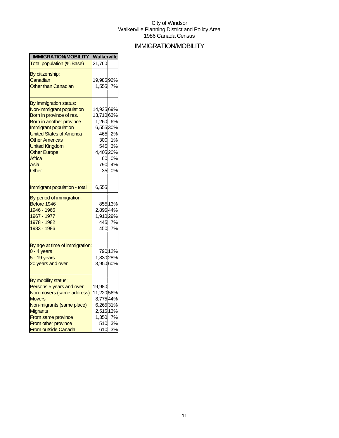## IMMIGRATION/MOBILITY

| <b>IMMIGRATION/MOBILITY</b>                                                                                                                                                                                                                                               | Walkerville                                                                           |                                          |
|---------------------------------------------------------------------------------------------------------------------------------------------------------------------------------------------------------------------------------------------------------------------------|---------------------------------------------------------------------------------------|------------------------------------------|
| <b>Total population (% Base)</b>                                                                                                                                                                                                                                          | 21,760                                                                                |                                          |
| By citizenship:<br>Canadian<br><b>Other than Canadian</b>                                                                                                                                                                                                                 | 19,98592%<br>1,555                                                                    | 7%                                       |
| By immigration status:<br>Non-immigrant population<br>Born in province of res.<br>Born in another province<br>Immigrant population<br><b>United States of America</b><br><b>Other Americas</b><br><b>United Kingdom</b><br><b>Other Europe</b><br>Africa<br>Asia<br>Other | 14,93569%<br>13,71063%<br>1,260 6%<br>6,55530%<br>300<br>545<br>4,405 20%<br>60<br>35 | 465 2%<br>1%<br>3%<br>0%<br>790 4%<br>0% |
| Immigrant population - total                                                                                                                                                                                                                                              | 6,555                                                                                 |                                          |
| By period of immigration:<br>Before 1946<br>1946 - 1966<br>1967 - 1977<br>1978 - 1982<br>1983 - 1986                                                                                                                                                                      | 2,895 44%<br>1,910 29%<br>445<br>450                                                  | 85513%<br>7%<br>7%                       |
| By age at time of immigration:<br>$0 - 4$ years<br>5 - 19 years<br>20 years and over                                                                                                                                                                                      | 1,830 28%<br>3,950 60%                                                                | 790 12%                                  |
| By mobility status:<br>Persons 5 years and over<br>Non-movers (same address)<br><b>Movers</b><br>Non-migrants (same place)<br><b>Migrants</b><br>From same province<br>From other province<br>From outside Canada                                                         | 19,980<br>11,22056%<br>8,775 44%<br>6,26531%<br>2,515 13%<br>1,350 7%<br>610          | 510 3%<br>3%                             |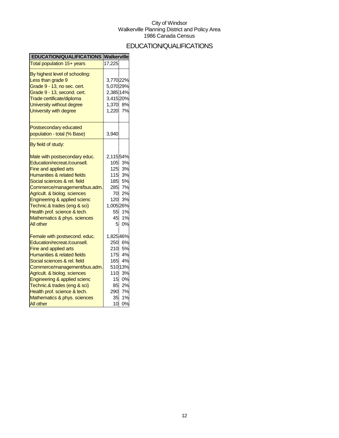## EDUCATION/QUALIFICATIONS

| <b>EDUCATION/QUALIFICATIONS</b>                                                                                                                                                                                                                                                                                                                                                      | Walkerville                                                                            |                                                                     |
|--------------------------------------------------------------------------------------------------------------------------------------------------------------------------------------------------------------------------------------------------------------------------------------------------------------------------------------------------------------------------------------|----------------------------------------------------------------------------------------|---------------------------------------------------------------------|
| Total population 15+ years                                                                                                                                                                                                                                                                                                                                                           | 17,225                                                                                 |                                                                     |
| By highest level of schooling:<br>Less than grade 9<br>Grade 9 - 13, no sec. cert.<br>Grade 9 - 13, second. cert.<br>Trade certificate/diploma<br>University without degree<br>University with degree                                                                                                                                                                                | 3,770 22%<br>5,070 29%<br>2,385 14%<br>3,415 20%<br>1,370<br>1,220                     | 8%<br>7%                                                            |
| Postsecondary educated<br>population - total (% Base)                                                                                                                                                                                                                                                                                                                                | 3,940                                                                                  |                                                                     |
| By field of study:                                                                                                                                                                                                                                                                                                                                                                   |                                                                                        |                                                                     |
| Male with postsecondary educ.<br>Education/recreat./counsell.<br>Fine and applied arts<br>Humanities & related fields<br>Social sciences & rel. field<br>Commerce/management/bus.adm.<br>Agricult. & biolog. sciences<br>Engineering & applied scienc<br>Technic.& trades (eng & sci)<br>Health prof. science & tech.<br>Mathematics & phys. sciences<br>All other                   | 2,11554%<br>105<br>125<br>115<br>185<br>285<br>70<br>120<br>1,005 26%<br>55<br>45<br>5 | 3%<br>3%<br>3%<br>5%<br>7%<br>2%<br>3%<br>1%<br>1%<br>0%            |
| Female with postsecond. educ.<br>Education/recreat./counsell.<br>Fine and applied arts<br><b>Humanities &amp; related fields</b><br>Social sciences & rel. field<br>Commerce/management/bus.adm.<br>Agricult. & biolog. sciences<br>Engineering & applied scienc<br>Technic.& trades (eng & sci)<br>Health prof. science & tech.<br>Mathematics & phys. sciences<br><b>All other</b> | 1,825 46%<br>250<br>210<br>175<br>165<br>110<br>15<br>85<br>290<br>35<br>10            | 6%<br>5%<br>4%<br>4%<br>510 13%<br>3%<br>0%<br>2%<br>7%<br>1%<br>0% |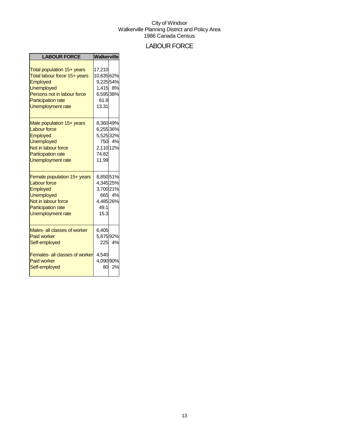## LABOUR FORCE

| <b>LABOUR FORCE</b>                                                                                                                                                                 | <b>Walkerville</b>                                                          |              |
|-------------------------------------------------------------------------------------------------------------------------------------------------------------------------------------|-----------------------------------------------------------------------------|--------------|
| Total population 15+ years<br>Total labour force 15+ years<br><b>Employed</b><br>Unemployed<br>Persons not in labour force<br><b>Participation rate</b><br><b>Unemployment rate</b> | 17,210<br>10,635 62%<br>9,225 54%<br>1,415 8%<br>6,595 38%<br>61.8<br>13.31 |              |
| Male population 15+ years<br><b>Labour force</b><br>Employed<br><b>Unemployed</b><br>Not in labour force<br><b>Participation rate</b><br><b>Unemployment rate</b>                   | 8,360 49%<br>6,255 36%<br>5,525 32%<br>2,110 12%<br>74.82<br>11.99          | 750 4%       |
| Female population 15+ years<br><b>Labour force</b><br><b>Employed</b><br><b>Unemployed</b><br>Not in labour force<br><b>Participation rate</b><br><b>Unemployment rate</b>          | 8,85051%<br>4,345 25%<br>3,700 21%<br>4,485 26%<br>49.1<br>15.3             | 665 4%       |
| Males- all classes of worker<br><b>Paid worker</b><br>Self-employed<br><b>Females- all classes of worker</b><br><b>Paid worker</b><br>Self-employed                                 | 6,405<br>5,875 92%<br>4,540<br>4,090 90%<br>80                              | 225 4%<br>2% |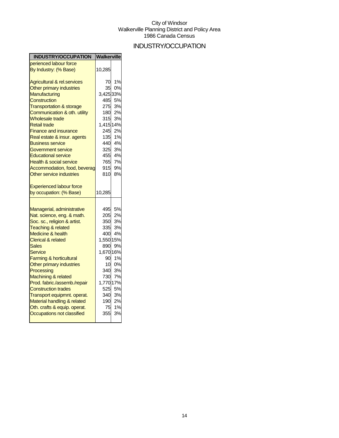## INDUSTRY/OCCUPATION

| <b>INDUSTRY/OCCUPATION</b>                                    | <b>Walkerville</b> |           |
|---------------------------------------------------------------|--------------------|-----------|
| perienced labour force                                        |                    |           |
| By Industry: (% Base)                                         | 10,285             |           |
| Agricultural & rel.services                                   | 70                 | 1%        |
| Other primary industries                                      | 35                 | 0%        |
| Manufacturing                                                 | 3,425 33%          |           |
| <b>Construction</b>                                           | 485                | 5%        |
| <b>Transportation &amp; storage</b>                           | 275                | 3%        |
| Communication & oth. utility                                  | 180                | 2%        |
| Wholesale trade                                               | 315                | 3%        |
| <b>Retail trade</b>                                           | 1,415 14%          |           |
| <b>Finance and insurance</b>                                  | 245                | 2%        |
| Real estate & insur. agents                                   | 135                | 1%        |
| <b>Business service</b>                                       | 440                | 4%        |
| Government service                                            | 325                | 3%        |
| <b>Educational service</b>                                    |                    | 455 4%    |
| <b>Health &amp; social service</b>                            | 765                | 7%        |
| Accommodation, food, beverag                                  | 915                | 9%        |
| Other service industries                                      | 810                | 8%        |
| <b>Experienced labour force</b>                               |                    |           |
| by occupation: (% Base)                                       | 10,285             |           |
|                                                               |                    | 5%        |
| Managerial, administrative                                    | 495                |           |
| Nat. science, eng. & math.                                    | 205                | 2%<br>3%  |
| Soc. sc., religion & artist.<br><b>Teaching &amp; related</b> | 350l<br>335        | 3%        |
| Medicine & health                                             | 400                | 4%        |
| <b>Clerical &amp; related</b>                                 | 1,550 15%          |           |
| <b>Sales</b>                                                  | 890                | 9%        |
| Service                                                       | 1,670 16%          |           |
| Farming & horticultural                                       | 90                 | 1%        |
| Other primary industries                                      | 10                 | 0%        |
| Processing                                                    | 340                | 3%        |
| <b>Machining &amp; related</b>                                | 730                | 7%        |
| Prod. fabric./assemb./repair                                  | 1,770 17%          |           |
| <b>Construction trades</b>                                    | 525                | <b>5%</b> |
| Transport equipmnt. operat.                                   |                    | 340 3%    |
| Material handling & related                                   | 190                | 2%        |
| Oth. crafts & equip. operat.                                  | 75                 | 1%        |
| Occupations not classified                                    | 355                | 3%        |
|                                                               |                    |           |